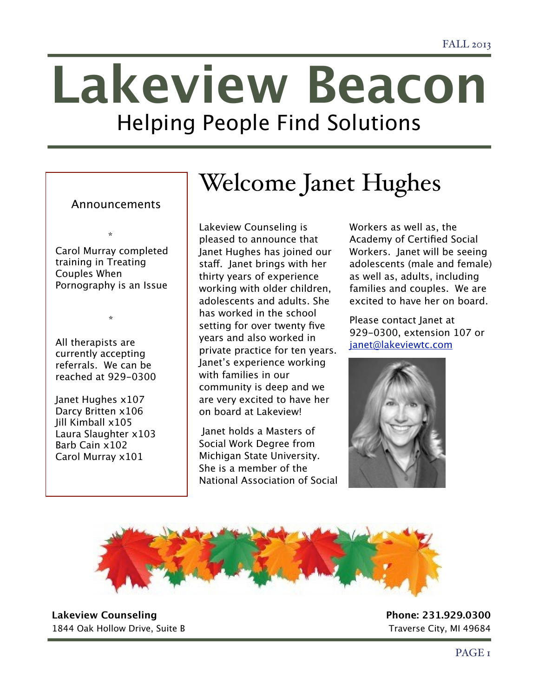# **Lakeview Beacon** Helping People Find Solutions

## Announcements Welcome Janet Hughes

 \* Carol Murray completed training in Treating Couples When Pornography is an Issue

All therapists are currently accepting referrals. We can be reached at 929-0300

\*

Janet Hughes x107 Darcy Britten x106 Jill Kimball x105 Laura Slaughter x103 Barb Cain x102 Carol Murray x101

Lakeview Counseling is pleased to announce that Janet Hughes has joined our staf. Janet brings with her thirty years of experience working with older children, adolescents and adults. She has worked in the school setting for over twenty five years and also worked in private practice for ten years. Janet's experience working with families in our community is deep and we are very excited to have her on board at Lakeview!

 Janet holds a Masters of Social Work Degree from Michigan State University. She is a member of the National Association of Social Workers as well as, the Academy of Certified Social Workers. Janet will be seeing adolescents (male and female) as well as, adults, including families and couples. We are excited to have her on board.

Please contact Janet at 929-0300, extension 107 or [janet@lakeviewtc.com](mailto:janet@lakeviewtc.com)





**Lakeview Counseling Phone: 231.929.0300** 1844 Oak Hollow Drive, Suite B 1844 Oak Hollow Drive, Suite B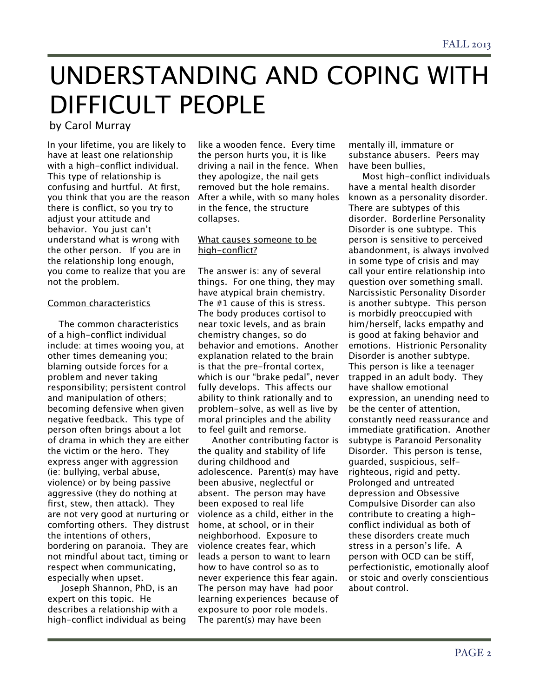# UNDERSTANDING AND COPING WITH DIFFICULT PEOPLE

by Carol Murray

In your lifetime, you are likely to have at least one relationship with a high-conflict individual. This type of relationship is confusing and hurtful. At first, you think that you are the reason there is conflict, so you try to adjust your attitude and behavior. You just can't understand what is wrong with the other person. If you are in the relationship long enough, you come to realize that you are not the problem.

#### Common characteristics

 The common characteristics of a high-conflict individual include: at times wooing you, at other times demeaning you; blaming outside forces for a problem and never taking responsibility; persistent control and manipulation of others; becoming defensive when given negative feedback. This type of person often brings about a lot of drama in which they are either the victim or the hero. They express anger with aggression (ie: bullying, verbal abuse, violence) or by being passive aggressive (they do nothing at first, stew, then attack). They are not very good at nurturing or comforting others. They distrust the intentions of others, bordering on paranoia. They are not mindful about tact, timing or respect when communicating, especially when upset.

 Joseph Shannon, PhD, is an expert on this topic. He describes a relationship with a high-conflict individual as being like a wooden fence. Every time the person hurts you, it is like driving a nail in the fence. When they apologize, the nail gets removed but the hole remains. After a while, with so many holes in the fence, the structure collapses.

#### What causes someone to be high-conflict?

The answer is: any of several things. For one thing, they may have atypical brain chemistry. The #1 cause of this is stress. The body produces cortisol to near toxic levels, and as brain chemistry changes, so do behavior and emotions. Another explanation related to the brain is that the pre-frontal cortex, which is our "brake pedal", never fully develops. This afects our ability to think rationally and to problem-solve, as well as live by moral principles and the ability to feel guilt and remorse.

 Another contributing factor is the quality and stability of life during childhood and adolescence. Parent(s) may have been abusive, neglectful or absent. The person may have been exposed to real life violence as a child, either in the home, at school, or in their neighborhood. Exposure to violence creates fear, which leads a person to want to learn how to have control so as to never experience this fear again. The person may have had poor learning experiences because of exposure to poor role models. The parent(s) may have been

mentally ill, immature or substance abusers. Peers may have been bullies,

 Most high-conflict individuals have a mental health disorder known as a personality disorder. There are subtypes of this disorder. Borderline Personality Disorder is one subtype. This person is sensitive to perceived abandonment, is always involved in some type of crisis and may call your entire relationship into question over something small. Narcissistic Personality Disorder is another subtype. This person is morbidly preoccupied with him/herself, lacks empathy and is good at faking behavior and emotions. Histrionic Personality Disorder is another subtype. This person is like a teenager trapped in an adult body. They have shallow emotional expression, an unending need to be the center of attention, constantly need reassurance and immediate gratification. Another subtype is Paranoid Personality Disorder. This person is tense, guarded, suspicious, selfrighteous, rigid and petty. Prolonged and untreated depression and Obsessive Compulsive Disorder can also contribute to creating a highconflict individual as both of these disorders create much stress in a person's life. A person with OCD can be stif, perfectionistic, emotionally aloof or stoic and overly conscientious about control.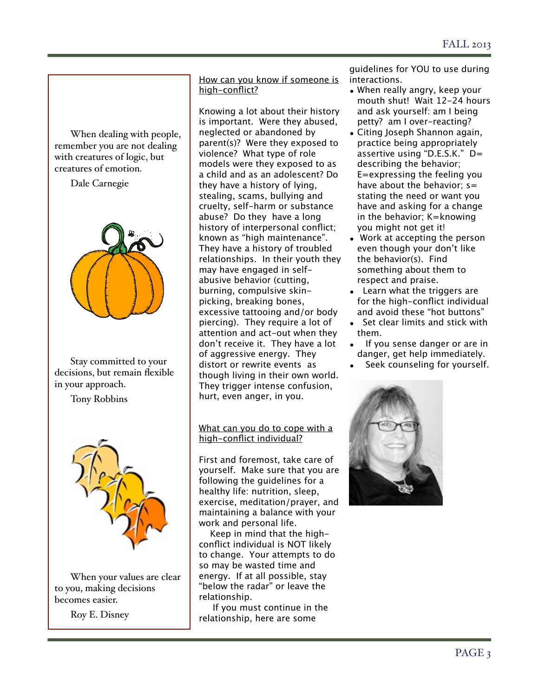When dealing with people, remember you are not dealing with creatures of logic, but creatures of emotion.

Dale Carnegie



Stay committed to your decisions, but remain flexible in your approach.

Tony Robbins



When your values are clear to you, making decisions becomes easier.

Roy E. Disney

How can you know if someone is high-conflict?

Knowing a lot about their history is important. Were they abused, neglected or abandoned by parent(s)? Were they exposed to violence? What type of role models were they exposed to as a child and as an adolescent? Do they have a history of lying, stealing, scams, bullying and cruelty, self-harm or substance abuse? Do they have a long history of interpersonal conflict; known as "high maintenance". They have a history of troubled relationships. In their youth they may have engaged in selfabusive behavior (cutting, burning, compulsive skinpicking, breaking bones, excessive tattooing and/or body piercing). They require a lot of attention and act-out when they don't receive it. They have a lot of aggressive energy. They distort or rewrite events as though living in their own world. They trigger intense confusion, hurt, even anger, in you.

#### What can you do to cope with a high-conflict individual?

First and foremost, take care of yourself. Make sure that you are following the guidelines for a healthy life: nutrition, sleep, exercise, meditation/prayer, and maintaining a balance with your work and personal life.

 Keep in mind that the highconflict individual is NOT likely to change. Your attempts to do so may be wasted time and energy. If at all possible, stay "below the radar" or leave the relationship.

 If you must continue in the relationship, here are some

guidelines for YOU to use during interactions.

- When really angry, keep your mouth shut! Wait 12-24 hours and ask yourself: am I being petty? am I over-reacting?
- Citing Joseph Shannon again, practice being appropriately assertive using "D.E.S.K." D= describing the behavior; E=expressing the feeling you have about the behavior:  $s=$ stating the need or want you have and asking for a change in the behavior; K=knowing you might not get it!
- Work at accepting the person even though your don't like the behavior(s). Find something about them to respect and praise.
- Learn what the triggers are for the high-conflict individual and avoid these "hot buttons"
- Set clear limits and stick with them.
- If you sense danger or are in danger, get help immediately.
- Seek counseling for yourself.